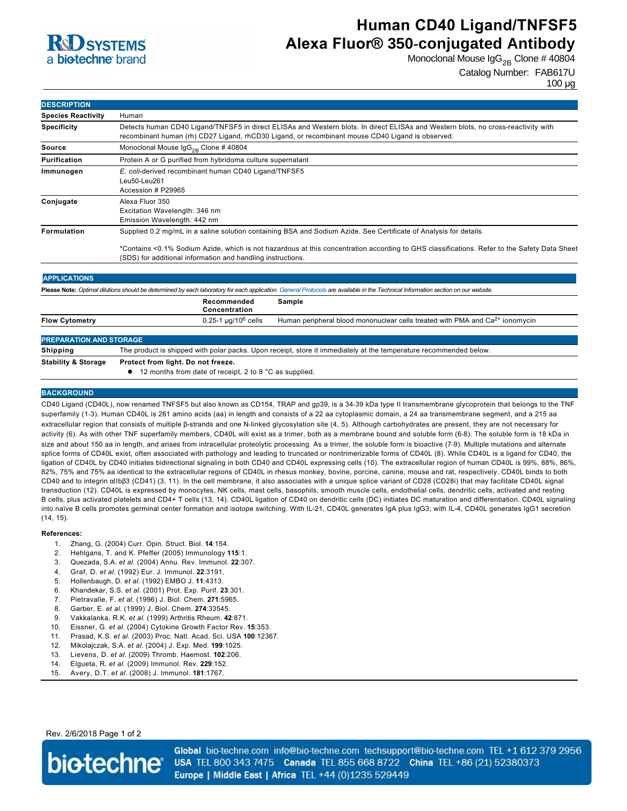

# **Human CD40 Ligand/TNFSF5 Alexa Fluor® 350-conjugated Antibody**

Monoclonal Mouse  $\lg G_{2B}$  Clone # 40804

Catalog Number: FAB617U

100 µg

| <b>DESCRIPTION</b>             |                                                                                                                                                                                                                                                                                                                                 |
|--------------------------------|---------------------------------------------------------------------------------------------------------------------------------------------------------------------------------------------------------------------------------------------------------------------------------------------------------------------------------|
| <b>Species Reactivity</b>      | Human                                                                                                                                                                                                                                                                                                                           |
| <b>Specificity</b>             | Detects human CD40 Ligand/TNFSF5 in direct ELISAs and Western blots. In direct ELISAs and Western blots, no cross-reactivity with<br>recombinant human (rh) CD27 Ligand, rhCD30 Ligand, or recombinant mouse CD40 Ligand is observed.                                                                                           |
| Source                         | Monoclonal Mouse $\lg G_{2R}$ Clone # 40804                                                                                                                                                                                                                                                                                     |
| <b>Purification</b>            | Protein A or G purified from hybridoma culture supernatant                                                                                                                                                                                                                                                                      |
| Immunogen                      | E. coli-derived recombinant human CD40 Ligand/TNFSF5<br>Leu50-Leu261<br>Accession # P29965                                                                                                                                                                                                                                      |
| Conjugate                      | Alexa Fluor 350<br>Excitation Wavelength: 346 nm<br>Emission Wavelength: 442 nm                                                                                                                                                                                                                                                 |
| Formulation                    | Supplied 0.2 mg/mL in a saline solution containing BSA and Sodium Azide. See Certificate of Analysis for details.<br>*Contains <0.1% Sodium Azide, which is not hazardous at this concentration according to GHS classifications. Refer to the Safety Data Sheet<br>(SDS) for additional information and handling instructions. |
| <b>APPLICATIONS</b>            |                                                                                                                                                                                                                                                                                                                                 |
|                                | Please Note: Optimal dilutions should be determined by each laboratory for each application. General Protocols are available in the Technical Information section on our website.<br>Recommended<br>Sample<br>Concentration                                                                                                     |
| <b>Flow Cytometry</b>          | $0.25 - 1 \mu q/10^6$ cells<br>Human peripheral blood mononuclear cells treated with PMA and Ca <sup>2+</sup> ionomycin                                                                                                                                                                                                         |
| <b>PREPARATION AND STORAGE</b> |                                                                                                                                                                                                                                                                                                                                 |
| <b>Shipping</b>                | The product is shipped with polar packs. Upon receipt, store it immediately at the temperature recommended below.                                                                                                                                                                                                               |
| <b>Stability &amp; Storage</b> | Protect from light. Do not freeze.<br>12 months from date of receipt, 2 to 8 °C as supplied.                                                                                                                                                                                                                                    |

#### **BACKGROUND**

CD40 Ligand (CD40L), now renamed TNFSF5 but also known as CD154, TRAP and gp39, is a 3439 kDa type II transmembrane glycoprotein that belongs to the TNF superfamily (1-3). Human CD40L is 261 amino acids (aa) in length and consists of a 22 aa cytoplasmic domain, a 24 aa transmembrane segment, and a 215 aa extracellular region that consists of multiple β-strands and one N-linked glycosylation site (4, 5). Although carbohydrates are present, they are not necessary for activity (6). As with other TNF superfamily members, CD40L will exist as a trimer, both as a membrane bound and soluble form (6-8). The soluble form is 18 kDa in size and about 150 aa in length, and arises from intracellular proteolytic processing. As a trimer, the soluble form is bioactive (79). Multiple mutations and alternate splice forms of CD40L exist, often associated with pathology and leading to truncated or nontrimerizable forms of CD40L (8). While CD40L is a ligand for CD40, the ligation of CD40L by CD40 initiates bidirectional signaling in both CD40 and CD40L expressing cells (10). The extracellular region of human CD40L is 99%, 88%, 86%, 82%, 75% and 75% aa identical to the extracellular regions of CD40L in rhesus monkey, bovine, porcine, canine, mouse and rat, respectively. CD40L binds to both CD40 and to integrin αIIbβ3 (CD41) (3, 11). In the cell membrane, it also associates with a unique splice variant of CD28 (CD28i) that may facilitate CD40L signal transduction (12). CD40L is expressed by monocytes, NK cells, mast cells, basophils, smooth muscle cells, endothelial cells, dendritic cells, activated and resting B cells, plus activated platelets and CD4+ T cells (13, 14). CD40L ligation of CD40 on dendritic cells (DC) initiates DC maturation and differentiation. CD40L signaling into naïve B cells promotes germinal center formation and isotope switching. With IL-21, CD40L generates IgA plus IgG3; with IL-4, CD40L generates IgG1 secretion (14, 15).

#### **References:**

- 1. Zhang, G. (2004) Curr. Opin. Struct. Biol. **14**:154.
- 2. Hehlgans, T. and K. Pfeffer (2005) Immunology **115**:1.
- 3. Quezada, S.A. *et al*. (2004) Annu. Rev. Immunol. **22**:307.
- 4. Graf, D. *et al*. (1992) Eur. J. Immunol. **22**:3191.
- 5. Hollenbaugh, D. *et al*. (1992) EMBO J. **11**:4313.
- 6. Khandekar, S.S. *et al*. (2001) Prot. Exp. Purif. **23**:301.
- 7. Pietravalle, F. *et al*. (1996) J. Biol. Chem. **271**:5965.
- 8. Garber, E. *et al*. (1999) J. Biol. Chem. **274**:33545.
- 9. Vakkalanka, R.K. *et al*. (1999) Arthritis Rheum. **42**:871.
- 10. Eissner, G. *et al*. (2004) Cytokine Growth Factor Rev. **15**:353.
- 11. Prasad, K.S. *et al.* (2003) Proc. Natl. Acad. Sci. USA **100**:12367.
- 12. Mikolajczak, S.A. *et al.* (2004) J. Exp. Med. **199**:1025.
- 13. Lievens, D. *et al.* (2009) Thromb. Haemost. **102**:206.
- 14. Elgueta, R. *et al.* (2009) Immunol. Rev. **229**:152.
- 15. Avery, D.T. *et al.* (2008) J. Immunol. **181**:1767.

Rev. 2/6/2018 Page 1 of 2



Global bio-techne.com info@bio-techne.com techsupport@bio-techne.com TEL +1 612 379 2956 USA TEL 800 343 7475 Canada TEL 855 668 8722 China TEL +86 (21) 52380373 Europe | Middle East | Africa TEL +44 (0)1235 529449